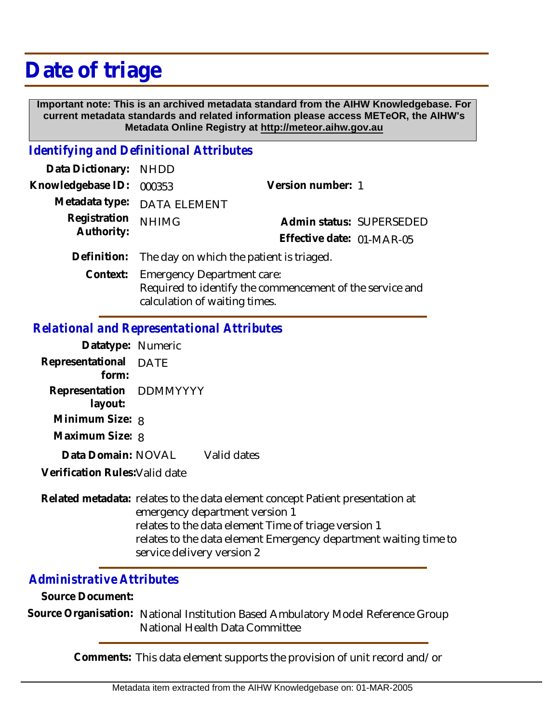## **Date of triage**

 **Important note: This is an archived metadata standard from the AIHW Knowledgebase. For current metadata standards and related information please access METeOR, the AIHW's Metadata Online Registry at http://meteor.aihw.gov.au**

## *Identifying and Definitional Attributes*

| Data Dictionary: NHDD |                                          |                                                          |  |  |
|-----------------------|------------------------------------------|----------------------------------------------------------|--|--|
| Knowledgebase ID:     | 000353                                   | Version number: 1                                        |  |  |
|                       | Metadata type: DATA ELEMENT              |                                                          |  |  |
| Registration          | <b>NHIMG</b>                             | Admin status: SUPERSEDED                                 |  |  |
| Authority:            |                                          | Effective date: 01-MAR-05                                |  |  |
| Definition:           | The day on which the patient is triaged. |                                                          |  |  |
| Context:              | <b>Emergency Department care:</b>        |                                                          |  |  |
|                       |                                          | Required to identify the commencement of the service and |  |  |

calculation of waiting times.

## *Relational and Representational Attributes*

| Datatype: Numeric                                                  |             |             |
|--------------------------------------------------------------------|-------------|-------------|
| Representational<br>form:                                          | <b>DATE</b> |             |
| Representation DDMMYYYY<br>layout:                                 |             |             |
| Minimum Size: 8                                                    |             |             |
| Maximum Size: 8                                                    |             |             |
| Data Domain: NOVAL                                                 |             | Valid dates |
| $\mathcal{M}$ . The set of $\mathbb{R}$ is the set of $\mathbb{R}$ |             |             |

**Verification Rules:**Valid date

Related metadata: relates to the data element concept Patient presentation at emergency department version 1 relates to the data element Time of triage version 1 relates to the data element Emergency department waiting time to service delivery version 2

## *Administrative Attributes*

**Source Document:**

Source Organisation: National Institution Based Ambulatory Model Reference Group National Health Data Committee

**Comments:** This data element supports the provision of unit record and/or